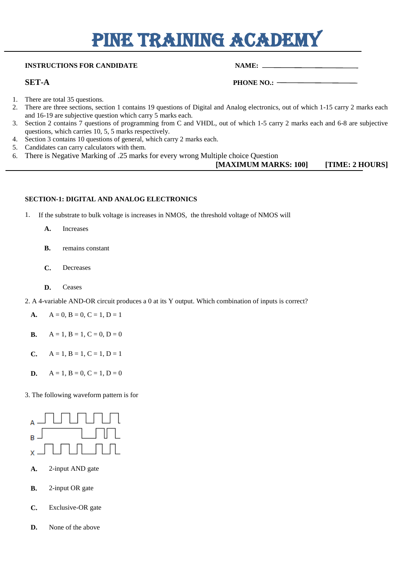# PINE TRAINING ACADEMY

# **INSTRUCTIONS FOR CANDIDATE NAME:** NAME:

**SET-A PHONE NO.:**  $-$ 

- 1. There are total 35 questions.
- 2. There are three sections, section 1 contains 19 questions of Digital and Analog electronics, out of which 1-15 carry 2 marks each and 16-19 are subjective question which carry 5 marks each.
- 3. Section 2 contains 7 questions of programming from C and VHDL, out of which 1-5 carry 2 marks each and 6-8 are subjective questions, which carries 10, 5, 5 marks respectively.
- 4. Section 3 contains 10 questions of general, which carry 2 marks each.
- 5. Candidates can carry calculators with them.
- 6. There is Negative Marking of .25 marks for every wrong Multiple choice Question

# **[MAXIMUM MARKS: 100] [TIME: 2 HOURS]**

### **SECTION-1: DIGITAL AND ANALOG ELECTRONICS**

- 1. If the substrate to bulk voltage is increases in NMOS, the threshold voltage of NMOS will
	- **[A.](javascript:%20void%200;)** Increases
	- **[B.](javascript:%20void%200;)** remains constant
	- **[C.](javascript:%20void%200;)** Decreases
	- **[D.](javascript:%20void%200;)** Ceases
- 2. A 4-variable AND-OR circuit produces a 0 at its Y output. Which combination of inputs is correct?
	- **[A.](javascript:%20void%200;)**  $A = 0, B = 0, C = 1, D = 1$
	- **[B.](javascript:%20void%200;)**  $A = 1, B = 1, C = 0, D = 0$
	- **[C.](javascript:%20void%200;)**  $A = 1, B = 1, C = 1, D = 1$
	- **[D.](javascript:%20void%200;)**  $A = 1, B = 0, C = 1, D = 0$

3. The following waveform pattern is for



- **[A.](javascript:%20void%200;)** 2-input AND gate
- **[B.](javascript:%20void%200;)** 2-input OR gate
- **[C.](javascript:%20void%200;)** Exclusive-OR gate
- **[D.](javascript:%20void%200;)** None of the above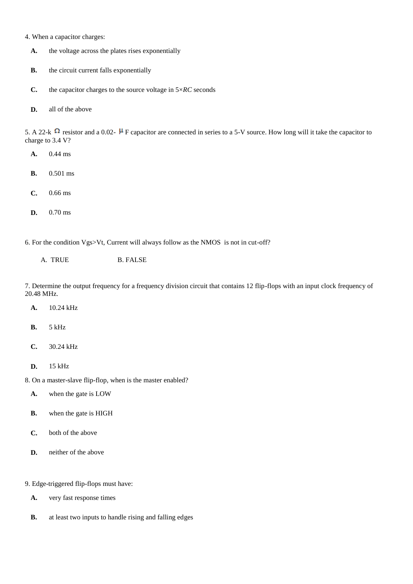- 4. When a capacitor charges:
	- **[A.](javascript:%20void%200;)** the voltage across the plates rises exponentially
	- **[B.](javascript:%20void%200;)** the circuit current falls exponentially
	- **[C.](javascript:%20void%200;)** the capacitor charges to the source voltage in 5×*RC* seconds
	- **[D.](javascript:%20void%200;)** all of the above

5. A 22-k  $\Omega$  resistor and a 0.02-  $\mu$  F capacitor are connected in series to a 5-V source. How long will it take the capacitor to charge to 3.4 V?

- **[A.](javascript:%20void%200;)** 0.44 ms
- **[B.](javascript:%20void%200;)** 0.501 ms
- **[C.](javascript:%20void%200;)** 0.66 ms
- **[D.](javascript:%20void%200;)** 0.70 ms

6. For the condition Vgs>Vt, Current will always follow as the NMOS is not in cut-off?

A. TRUE B. FALSE

7. Determine the output frequency for a frequency division circuit that contains 12 flip-flops with an input clock frequency of 20.48 MHz.

- **[A.](javascript:%20void%200;)** 10.24 kHz
- **[B.](javascript:%20void%200;)** 5 kHz
- **[C.](javascript:%20void%200;)** 30.24 kHz
- **[D.](javascript:%20void%200;)** 15 kHz
- 8. On a master-slave flip-flop, when is the master enabled?
	- **[A.](javascript:%20void%200;)** when the gate is LOW
	- **[B.](javascript:%20void%200;)** when the gate is HIGH
	- **[C.](javascript:%20void%200;)** both of the above
	- **[D.](javascript:%20void%200;)** neither of the above
- 9. Edge-triggered flip-flops must have:
	- **[A.](javascript:%20void%200;)** very fast response times
	- **[B.](javascript:%20void%200;)** at least two inputs to handle rising and falling edges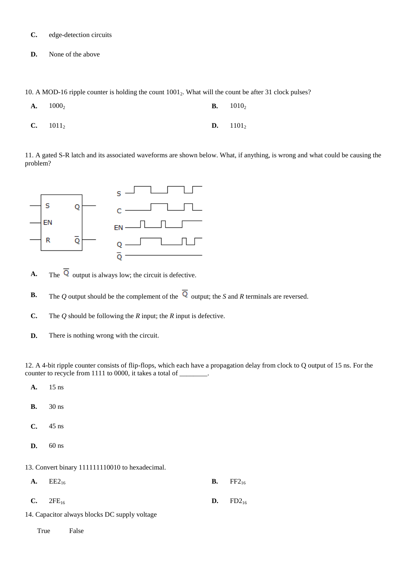- **[C.](javascript:%20void%200;)** edge-detection circuits
- **[D.](javascript:%20void%200;)** None of the above

10. A MOD-16 ripple counter is holding the count  $1001<sub>2</sub>$ . What will the count be after 31 clock pulses?

| $A. 1000_2$        | <b>B.</b> $1010_2$ |
|--------------------|--------------------|
| <b>C.</b> $1011_2$ | <b>D.</b> $1101_2$ |

11. A gated S-R latch and its associated waveforms are shown below. What, if anything, is wrong and what could be causing the problem?



- **A.** The  $\overline{Q}$  output is always low; the circuit is defective.
- **B.** The *Q* output should be the complement of the  $\overline{Q}$  output; the *S* and *R* terminals are reversed.
- **C.** The *Q* should be following the *R* input; the *R* input is defective.
- **D.** There is nothing wrong with the circuit.

12. A 4-bit ripple counter consists of flip-flops, which each have a propagation delay from clock to Q output of 15 ns. For the counter to recycle from 1111 to 0000, it takes a total of \_\_\_\_\_\_\_\_.

- **[A.](javascript:%20void%200;)** 15 ns **[B.](javascript:%20void%200;)** 30 ns **[C.](javascript:%20void%200;)** 45 ns
- 
- **[D.](javascript:%20void%200;)** 60 ns

13. Convert binary 111111110010 to hexadecimal.

| <b>A.</b> $EE2_{16}$                         | <b>B.</b> FF2 <sub>16</sub> |
|----------------------------------------------|-----------------------------|
| <b>C.</b> $2FE_{16}$                         | <b>D.</b> $FD2_{16}$        |
| 4. Capacitor always blocks DC supply voltage |                             |

14. Capacitor always blocks DC supply voltage

True False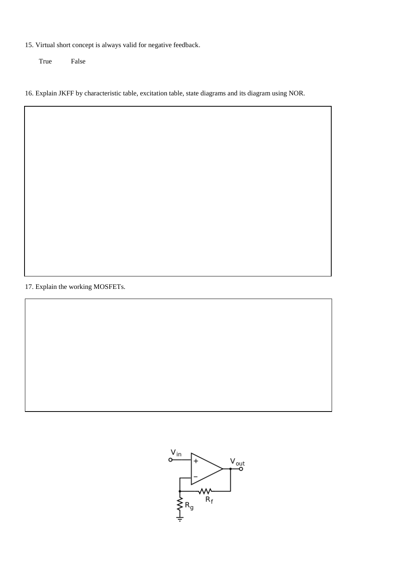15. Virtual short concept is always valid for negative feedback.

True False

16. Explain JKFF by characteristic table, excitation table, state diagrams and its diagram using NOR.

17. Explain the working MOSFETs.

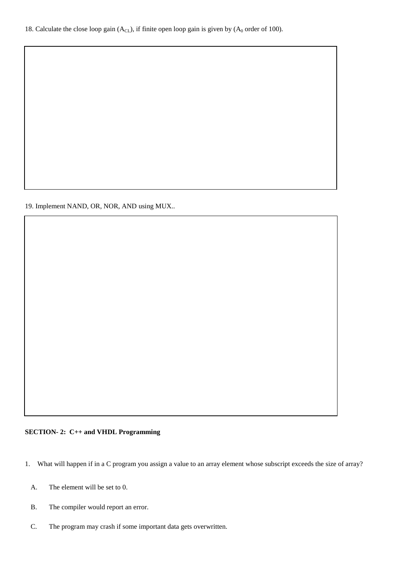18. Calculate the close loop gain  $(A<sub>CL</sub>)$ , if finite open loop gain is given by  $(A<sub>0</sub>$  order of 100).

19. Implement NAND, OR, NOR, AND using MUX..

## **SECTION- 2: C++ and VHDL Programming**

- 1. What will happen if in a C program you assign a value to an array element whose subscript exceeds the size of array?
	- [A.](javascript:%20void%200;) The element will be set to 0.
	- [B.](javascript:%20void%200;) The compiler would report an error.
	- [C.](javascript:%20void%200;) The program may crash if some important data gets overwritten.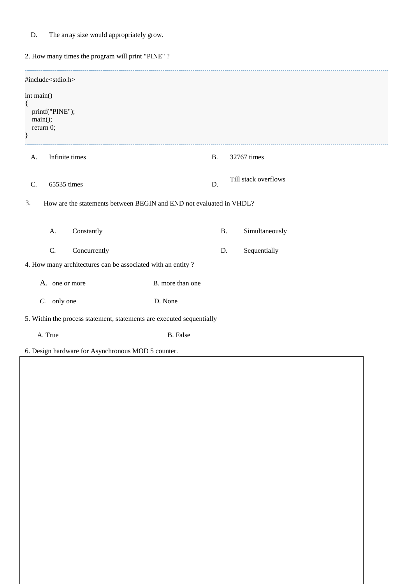[D.](javascript:%20void%200;) The array size would appropriately grow.

2. How many times the program will print "PINE" ?

| #include <stdio.h></stdio.h>                                              |                  |           |                      |
|---------------------------------------------------------------------------|------------------|-----------|----------------------|
| int main()<br>$\{$<br>printf("PINE");<br>$main$ :<br>return 0;<br>$\}$    |                  |           |                      |
| Infinite times<br>A.                                                      | <b>B.</b>        |           | 32767 times          |
| 65535 times<br>C.                                                         | D.               |           | Till stack overflows |
| 3.<br>How are the statements between BEGIN and END not evaluated in VHDL? |                  |           |                      |
| Constantly<br>A.                                                          |                  | <b>B.</b> | Simultaneously       |
| C.<br>Concurrently                                                        |                  | D.        | Sequentially         |
| 4. How many architectures can be associated with an entity?               |                  |           |                      |
| A. one or more                                                            | B. more than one |           |                      |
| $C.$ only one                                                             | D. None          |           |                      |
| 5. Within the process statement, statements are executed sequentially     |                  |           |                      |
| A. True                                                                   | <b>B.</b> False  |           |                      |
| 6. Design hardware for Asynchronous MOD 5 counter.                        |                  |           |                      |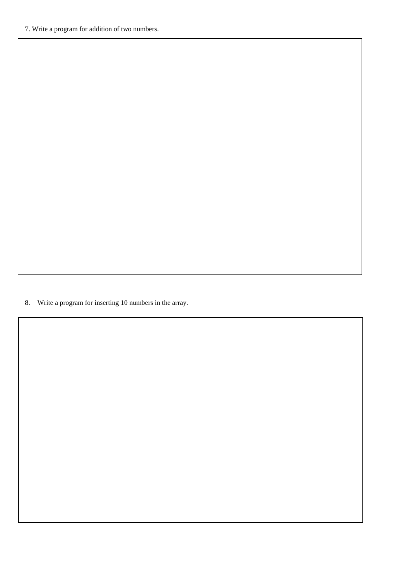8. Write a program for inserting 10 numbers in the array.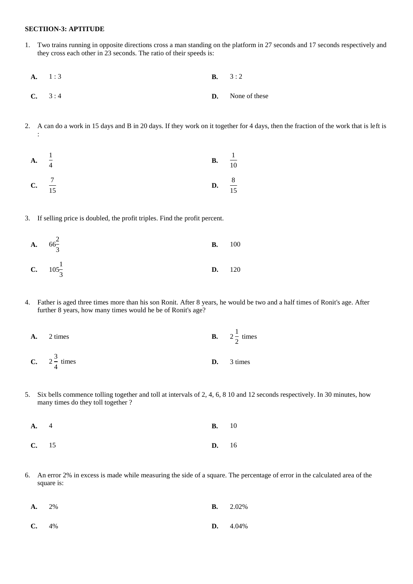#### **SECTIION-3: APTITUDE**

3

- 1. Two trains running in opposite directions cross a man standing on the platform in 27 seconds and 17 seconds respectively and they cross each other in 23 seconds. The ratio of their speeds is:
	- **[A.](javascript:%20void%200;)** 1 : 3 **[B.](javascript:%20void%200;)** 3 : 2
- **[C.](javascript:%20void%200;)** 3 : 4 **[D.](javascript:%20void%200;)** None of these
- 2. A can do a work in 15 days and B in 20 days. If they work on it together for 4 days, then the fraction of the work that is left is :



3. If selling price is doubled, the profit triples. Find the profit percent.

**A.** 
$$
66\frac{2}{3}
$$
   
**B.** 100  
**C.**  $105\frac{1}{3}$    
**D.** 120

- 4. Father is aged three times more than his son Ronit. After 8 years, he would be two and a half times of Ronit's age. After further 8 years, how many times would he be of Ronit's age?
	- **[A.](javascript:%20void%200;)** 2 times **[B.](javascript:%20void%200;)** 2  $\frac{1}{2}$  times **[C.](javascript:%20void%200;)**  $2\frac{3}{4}$  times **[D.](javascript:%20void%200;)** 3 times
- 5. Six bells commence tolling together and toll at intervals of 2, 4, 6, 8 10 and 12 seconds respectively. In 30 minutes, how many times do they toll together ?

| <b>A.</b> 4 | <b>B.</b> 10 |  |
|-------------|--------------|--|
| $C.$ 15     | <b>D.</b> 16 |  |

6. An error 2% in excess is made while measuring the side of a square. The percentage of error in the calculated area of the square is:

| $A. 2\%$ |  | <b>B.</b> $2.02\%$ |
|----------|--|--------------------|
| $C. 4\%$ |  | <b>D.</b> $4.04\%$ |